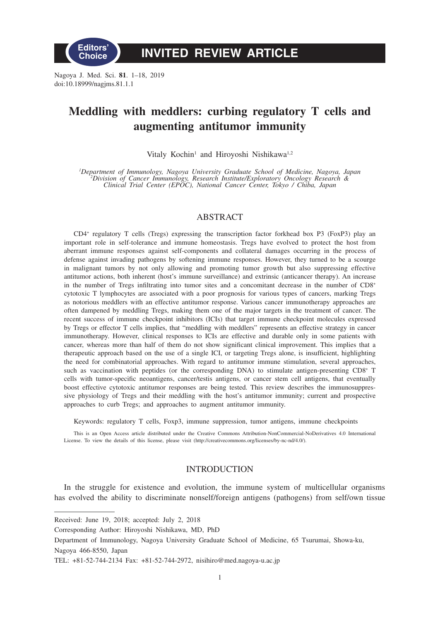

# **INVITED REVIEW ARTICLE**

Nagoya J. Med. Sci. **81**. 1–18, 2019 doi:10.18999/nagjms.81.1.1

# **Meddling with meddlers: curbing regulatory T cells and augmenting antitumor immunity**

Vitaly Kochin<sup>1</sup> and Hiroyoshi Nishikawa<sup>1,2</sup>

*1 Department of Immunology, Nagoya University Graduate School of Medicine, Nagoya, Japan <sup>2</sup> Division of Cancer Immunology, Research Institute/Exploratory Oncology Research & Clinical Trial Center (EPOC), National Cancer Center, Tokyo / Chiba, Japan*

## ABSTRACT

CD4+ regulatory T cells (Tregs) expressing the transcription factor forkhead box P3 (FoxP3) play an important role in self-tolerance and immune homeostasis. Tregs have evolved to protect the host from aberrant immune responses against self-components and collateral damages occurring in the process of defense against invading pathogens by softening immune responses. However, they turned to be a scourge in malignant tumors by not only allowing and promoting tumor growth but also suppressing effective antitumor actions, both inherent (host's immune surveillance) and extrinsic (anticancer therapy). An increase in the number of Tregs infiltrating into tumor sites and a concomitant decrease in the number of CD8+ cytotoxic T lymphocytes are associated with a poor prognosis for various types of cancers, marking Tregs as notorious meddlers with an effective antitumor response. Various cancer immunotherapy approaches are often dampened by meddling Tregs, making them one of the major targets in the treatment of cancer. The recent success of immune checkpoint inhibitors (ICIs) that target immune checkpoint molecules expressed by Tregs or effector T cells implies, that "meddling with meddlers" represents an effective strategy in cancer immunotherapy. However, clinical responses to ICIs are effective and durable only in some patients with cancer, whereas more than half of them do not show significant clinical improvement. This implies that a therapeutic approach based on the use of a single ICI, or targeting Tregs alone, is insufficient, highlighting the need for combinatorial approaches. With regard to antitumor immune stimulation, several approaches, such as vaccination with peptides (or the corresponding DNA) to stimulate antigen-presenting CD8<sup>+</sup> T cells with tumor-specific neoantigens, cancer/testis antigens, or cancer stem cell antigens, that eventually boost effective cytotoxic antitumor responses are being tested. This review describes the immunosuppressive physiology of Tregs and their meddling with the host's antitumor immunity; current and prospective approaches to curb Tregs; and approaches to augment antitumor immunity.

Keywords: regulatory T cells, Foxp3, immune suppression, tumor antigens, immune checkpoints

This is an Open Access article distributed under the Creative Commons Attribution-NonCommercial-NoDerivatives 4.0 International License. To view the details of this license, please visit (http://creativecommons.org/licenses/by-nc-nd/4.0/).

# INTRODUCTION

In the struggle for existence and evolution, the immune system of multicellular organisms has evolved the ability to discriminate nonself/foreign antigens (pathogens) from self/own tissue

Received: June 19, 2018; accepted: July 2, 2018

Corresponding Author: Hiroyoshi Nishikawa, MD, PhD

Department of Immunology, Nagoya University Graduate School of Medicine, 65 Tsurumai, Showa-ku, Nagoya 466-8550, Japan

TEL: +81-52-744-2134 Fax: +81-52-744-2972, nisihiro@med.nagoya-u.ac.jp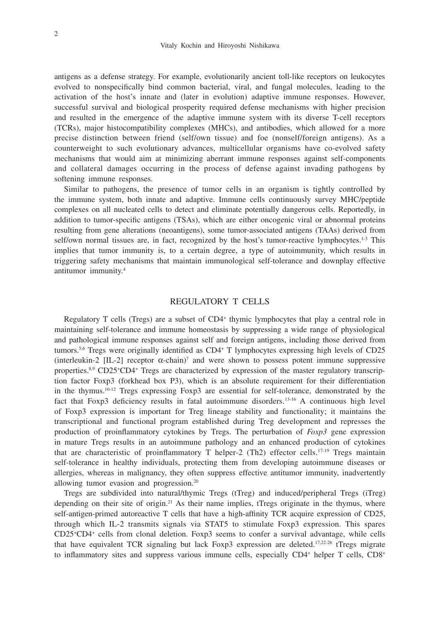antigens as a defense strategy. For example, evolutionarily ancient toll-like receptors on leukocytes evolved to nonspecifically bind common bacterial, viral, and fungal molecules, leading to the activation of the host's innate and (later in evolution) adaptive immune responses. However, successful survival and biological prosperity required defense mechanisms with higher precision and resulted in the emergence of the adaptive immune system with its diverse T-cell receptors (TCRs), major histocompatibility complexes (MHCs), and antibodies, which allowed for a more precise distinction between friend (self/own tissue) and foe (nonself/foreign antigens). As a counterweight to such evolutionary advances, multicellular organisms have co-evolved safety mechanisms that would aim at minimizing aberrant immune responses against self-components and collateral damages occurring in the process of defense against invading pathogens by softening immune responses.

Similar to pathogens, the presence of tumor cells in an organism is tightly controlled by the immune system, both innate and adaptive. Immune cells continuously survey MHC/peptide complexes on all nucleated cells to detect and eliminate potentially dangerous cells. Reportedly, in addition to tumor-specific antigens (TSAs), which are either oncogenic viral or abnormal proteins resulting from gene alterations (neoantigens), some tumor-associated antigens (TAAs) derived from self/own normal tissues are, in fact, recognized by the host's tumor-reactive lymphocytes.<sup>1-3</sup> This implies that tumor immunity is, to a certain degree, a type of autoimmunity, which results in triggering safety mechanisms that maintain immunological self-tolerance and downplay effective antitumor immunity.4

## REGULATORY T CELLS

Regulatory T cells (Tregs) are a subset of CD4+ thymic lymphocytes that play a central role in maintaining self-tolerance and immune homeostasis by suppressing a wide range of physiological and pathological immune responses against self and foreign antigens, including those derived from tumors.<sup>5,6</sup> Tregs were originally identified as CD4<sup>+</sup> T lymphocytes expressing high levels of CD25 (interleukin-2 [IL-2] receptor  $\alpha$ -chain)<sup>7</sup> and were shown to possess potent immune suppressive properties.<sup>8,9</sup> CD25<sup>+</sup>CD4<sup>+</sup> Tregs are characterized by expression of the master regulatory transcription factor Foxp3 (forkhead box P3), which is an absolute requirement for their differentiation in the thymus.10-12 Tregs expressing Foxp3 are essential for self-tolerance, demonstrated by the fact that Foxp3 deficiency results in fatal autoimmune disorders.13-16 A continuous high level of Foxp3 expression is important for Treg lineage stability and functionality; it maintains the transcriptional and functional program established during Treg development and represses the production of proinflammatory cytokines by Tregs. The perturbation of *Foxp3* gene expression in mature Tregs results in an autoimmune pathology and an enhanced production of cytokines that are characteristic of proinflammatory T helper-2 (Th2) effector cells.<sup>17-19</sup> Tregs maintain self-tolerance in healthy individuals, protecting them from developing autoimmune diseases or allergies, whereas in malignancy, they often suppress effective antitumor immunity, inadvertently allowing tumor evasion and progression.20

Tregs are subdivided into natural/thymic Tregs (tTreg) and induced/peripheral Tregs (iTreg) depending on their site of origin.<sup>21</sup> As their name implies, tTregs originate in the thymus, where self-antigen-primed autoreactive T cells that have a high-affinity TCR acquire expression of CD25, through which IL-2 transmits signals via STAT5 to stimulate Foxp3 expression. This spares  $CD25$ <sup>+</sup> $CD4$ <sup>+</sup> cells from clonal deletion. Foxp3 seems to confer a survival advantage, while cells that have equivalent TCR signaling but lack Foxp3 expression are deleted.<sup>17,22-26</sup> tTregs migrate to inflammatory sites and suppress various immune cells, especially CD4<sup>+</sup> helper T cells, CD8<sup>+</sup>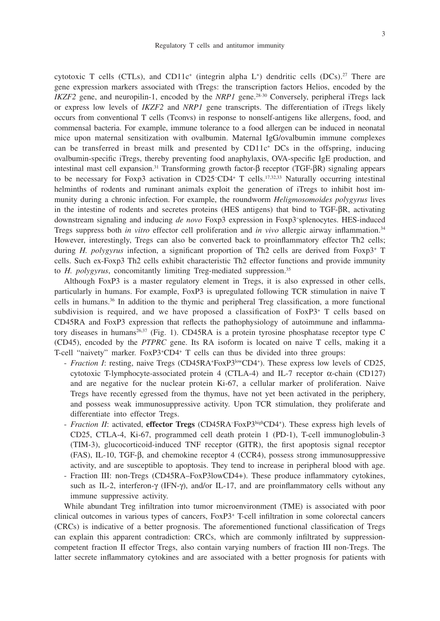cytotoxic T cells (CTLs), and CD11c<sup>+</sup> (integrin alpha L<sup>+</sup>) dendritic cells (DCs).<sup>27</sup> There are gene expression markers associated with tTregs: the transcription factors Helios, encoded by the *IKZF2* gene, and neuropilin-1, encoded by the *NRP1* gene.<sup>28-30</sup> Conversely, peripheral iTregs lack or express low levels of *IKZF2* and *NRP1* gene transcripts. The differentiation of iTregs likely occurs from conventional T cells (Tconvs) in response to nonself-antigens like allergens, food, and commensal bacteria. For example, immune tolerance to a food allergen can be induced in neonatal mice upon maternal sensitization with ovalbumin. Maternal IgG/ovalbumin immune complexes can be transferred in breast milk and presented by  $CD11c<sup>+</sup> DCs$  in the offspring, inducing ovalbumin-specific iTregs, thereby preventing food anaphylaxis, OVA-specific IgE production, and intestinal mast cell expansion.31 Transforming growth factor-β receptor (TGF-βR) signaling appears to be necessary for Foxp3 activation in CD25− CD4+ T cells.17,32,33 Naturally occurring intestinal helminths of rodents and ruminant animals exploit the generation of iTregs to inhibit host immunity during a chronic infection. For example, the roundworm *Heligmosomoides polygyrus* lives in the intestine of rodents and secretes proteins (HES antigens) that bind to TGF-βR, activating downstream signaling and inducing *de novo* Foxp3 expression in Foxp3− splenocytes. HES-induced Tregs suppress both *in vitro* effector cell proliferation and *in vivo* allergic airway inflammation.34 However, interestingly, Tregs can also be converted back to proinflammatory effector Th2 cells; during *H. polygyrus* infection, a significant proportion of Th2 cells are derived from Foxp3<sup>+</sup> T cells. Such ex-Foxp3 Th2 cells exhibit characteristic Th2 effector functions and provide immunity to *H. polygyrus*, concomitantly limiting Treg-mediated suppression.35

Although FoxP3 is a master regulatory element in Tregs, it is also expressed in other cells, particularly in humans. For example, FoxP3 is upregulated following TCR stimulation in naive T cells in humans.36 In addition to the thymic and peripheral Treg classification, a more functional subdivision is required, and we have proposed a classification of FoxP3+ T cells based on CD45RA and FoxP3 expression that reflects the pathophysiology of autoimmune and inflammatory diseases in humans<sup>26,37</sup> (Fig. 1). CD45RA is a protein tyrosine phosphatase receptor type C (CD45), encoded by the *PTPRC* gene. Its RA isoform is located on naive T cells, making it a T-cell "naivety" marker. FoxP3+ CD4+ T cells can thus be divided into three groups:

- *Fraction I*: resting, naive Tregs (CD45RA<sup>+</sup>FoxP3<sup>low</sup>CD4<sup>+</sup>). These express low levels of CD25, cytotoxic T-lymphocyte-associated protein 4 (CTLA-4) and IL-7 receptor α-chain (CD127) and are negative for the nuclear protein Ki-67, a cellular marker of proliferation. Naive Tregs have recently egressed from the thymus, have not yet been activated in the periphery, and possess weak immunosuppressive activity. Upon TCR stimulation, they proliferate and differentiate into effector Tregs.
- *Fraction II*: activated, **effector Tregs** (CD45RA– FoxP3highCD4+ ). These express high levels of CD25, CTLA-4, Ki-67, programmed cell death protein 1 (PD-1), T-cell immunoglobulin-3 (TIM-3), glucocorticoid-induced TNF receptor (GITR), the first apoptosis signal receptor (FAS), IL-10, TGF-β, and chemokine receptor 4 (CCR4), possess strong immunosuppressive activity, and are susceptible to apoptosis. They tend to increase in peripheral blood with age.
- Fraction III: non-Tregs (CD45RA–FoxP3lowCD4+). These produce inflammatory cytokines, such as IL-2, interferon-γ (IFN-γ), and/or IL-17, and are proinflammatory cells without any immune suppressive activity.

While abundant Treg infiltration into tumor microenvironment (TME) is associated with poor clinical outcomes in various types of cancers, FoxP3+ T-cell infiltration in some colorectal cancers (CRCs) is indicative of a better prognosis. The aforementioned functional classification of Tregs can explain this apparent contradiction: CRCs, which are commonly infiltrated by suppressioncompetent fraction II effector Tregs, also contain varying numbers of fraction III non-Tregs. The latter secrete inflammatory cytokines and are associated with a better prognosis for patients with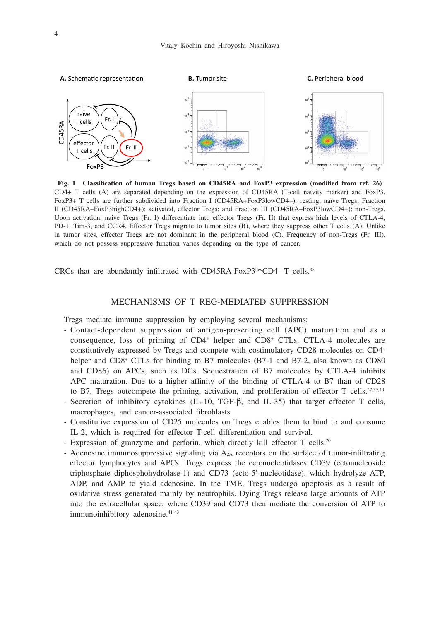

**Fig. 1 Classification of human Tregs based on CD45RA and FoxP3 expression (modified from ref. 26)** CD4+ T cells (A) are separated depending on the expression of CD45RA (T-cell naïvity marker) and FoxP3. FoxP3+ T cells are further subdivided into Fraction I (CD45RA+FoxP3lowCD4+): resting, naïve Tregs; Fraction II (CD45RA–FoxP3highCD4+): activated, effector Tregs; and Fraction III (CD45RA–FoxP3lowCD4+): non-Tregs. Upon activation, naive Tregs (Fr. I) differentiate into effector Tregs (Fr. II) that express high levels of CTLA-4, PD-1, Tim-3, and CCR4. Effector Tregs migrate to tumor sites (B), where they suppress other T cells (A). Unlike in tumor sites, effector Tregs are not dominant in the peripheral blood (C). Frequency of non-Tregs (Fr. III), which do not possess suppressive function varies depending on the type of cancer.

CRCs that are abundantly infiltrated with CD45RA– FoxP3lowCD4+ T cells.38

## MECHANISMS OF T REG-MEDIATED SUPPRESSION

Tregs mediate immune suppression by employing several mechanisms:

- Contact-dependent suppression of antigen-presenting cell (APC) maturation and as a consequence, loss of priming of CD4+ helper and CD8+ CTLs. CTLA-4 molecules are constitutively expressed by Tregs and compete with costimulatory CD28 molecules on CD4+ helper and CD8<sup>+</sup> CTLs for binding to B7 molecules (B7-1 and B7-2, also known as CD80 and CD86) on APCs, such as DCs. Sequestration of B7 molecules by CTLA-4 inhibits APC maturation. Due to a higher affinity of the binding of CTLA-4 to B7 than of CD28 to B7, Tregs outcompete the priming, activation, and proliferation of effector T cells.<sup>27,39,40</sup> - Secretion of inhibitory cytokines (IL-10, TGF-β, and IL-35) that target effector T cells,
- macrophages, and cancer-associated fibroblasts.
- Constitutive expression of CD25 molecules on Tregs enables them to bind to and consume IL-2, which is required for effector T-cell differentiation and survival.
- Expression of granzyme and perforin, which directly kill effector T cells.<sup>20</sup>
- Adenosine immunosuppressive signaling via A2A receptors on the surface of tumor-infiltrating effector lymphocytes and APCs. Tregs express the ectonucleotidases CD39 (ectonucleoside triphosphate diphosphohydrolase-1) and CD73 (ecto-5′-nucleotidase), which hydrolyze ATP, ADP, and AMP to yield adenosine. In the TME, Tregs undergo apoptosis as a result of oxidative stress generated mainly by neutrophils. Dying Tregs release large amounts of ATP into the extracellular space, where CD39 and CD73 then mediate the conversion of ATP to immunoinhibitory adenosine.<sup>41-43</sup>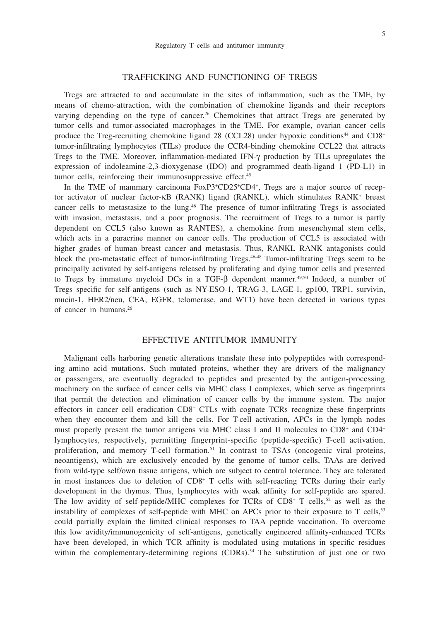## 5

## TRAFFICKING AND FUNCTIONING OF TREGS

Tregs are attracted to and accumulate in the sites of inflammation, such as the TME, by means of chemo-attraction, with the combination of chemokine ligands and their receptors varying depending on the type of cancer.<sup>26</sup> Chemokines that attract Tregs are generated by tumor cells and tumor-associated macrophages in the TME. For example, ovarian cancer cells produce the Treg-recruiting chemokine ligand 28 (CCL28) under hypoxic conditions<sup>44</sup> and  $CD8<sup>+</sup>$ tumor-infiltrating lymphocytes (TILs) produce the CCR4-binding chemokine CCL22 that attracts Tregs to the TME. Moreover, inflammation-mediated IFN-γ production by TILs upregulates the expression of indoleamine-2,3-dioxygenase (IDO) and programmed death-ligand 1 (PD-L1) in tumor cells, reinforcing their immunosuppressive effect.<sup>45</sup>

In the TME of mammary carcinoma  $FoxP3+CD25+CD4$ <sup>+</sup>, Tregs are a major source of receptor activator of nuclear factor-κB (RANK) ligand (RANKL), which stimulates RANK+ breast cancer cells to metastasize to the lung.<sup>46</sup> The presence of tumor-infiltrating Tregs is associated with invasion, metastasis, and a poor prognosis. The recruitment of Tregs to a tumor is partly dependent on CCL5 (also known as RANTES), a chemokine from mesenchymal stem cells, which acts in a paracrine manner on cancer cells. The production of CCL5 is associated with higher grades of human breast cancer and metastasis. Thus, RANKL–RANK antagonists could block the pro-metastatic effect of tumor-infiltrating Tregs.46-48 Tumor-infiltrating Tregs seem to be principally activated by self-antigens released by proliferating and dying tumor cells and presented to Tregs by immature myeloid DCs in a TGF-β dependent manner.49,50 Indeed, a number of Tregs specific for self-antigens (such as NY-ESO-1, TRAG-3, LAGE-1, gp100, TRP1, survivin, mucin-1, HER2/neu, CEA, EGFR, telomerase, and WT1) have been detected in various types of cancer in humans.<sup>26</sup>

#### EFFECTIVE ANTITUMOR IMMUNITY

Malignant cells harboring genetic alterations translate these into polypeptides with corresponding amino acid mutations. Such mutated proteins, whether they are drivers of the malignancy or passengers, are eventually degraded to peptides and presented by the antigen-processing machinery on the surface of cancer cells via MHC class I complexes, which serve as fingerprints that permit the detection and elimination of cancer cells by the immune system. The major effectors in cancer cell eradication CD8+ CTLs with cognate TCRs recognize these fingerprints when they encounter them and kill the cells. For T-cell activation, APCs in the lymph nodes must properly present the tumor antigens via MHC class I and II molecules to CD8<sup>+</sup> and CD4<sup>+</sup> lymphocytes, respectively, permitting fingerprint-specific (peptide-specific) T-cell activation, proliferation, and memory T-cell formation.<sup>51</sup> In contrast to TSAs (oncogenic viral proteins, neoantigens), which are exclusively encoded by the genome of tumor cells, TAAs are derived from wild-type self/own tissue antigens, which are subject to central tolerance. They are tolerated in most instances due to deletion of CD8+ T cells with self-reacting TCRs during their early development in the thymus. Thus, lymphocytes with weak affinity for self-peptide are spared. The low avidity of self-peptide/MHC complexes for TCRs of  $CD8<sup>+</sup>$  T cells,<sup>52</sup> as well as the instability of complexes of self-peptide with MHC on APCs prior to their exposure to T cells,<sup>53</sup> could partially explain the limited clinical responses to TAA peptide vaccination. To overcome this low avidity/immunogenicity of self-antigens, genetically engineered affinity-enhanced TCRs have been developed, in which TCR affinity is modulated using mutations in specific residues within the complementary-determining regions  $(CDRs)$ .<sup>54</sup> The substitution of just one or two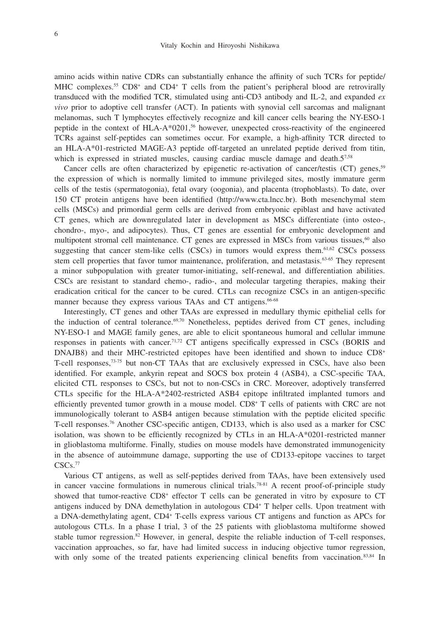amino acids within native CDRs can substantially enhance the affinity of such TCRs for peptide/ MHC complexes.<sup>55</sup> CD8<sup>+</sup> and CD4<sup>+</sup> T cells from the patient's peripheral blood are retrovirally transduced with the modified TCR, stimulated using anti-CD3 antibody and IL-2, and expanded *ex vivo* prior to adoptive cell transfer (ACT). In patients with synovial cell sarcomas and malignant melanomas, such T lymphocytes effectively recognize and kill cancer cells bearing the NY-ESO-1 peptide in the context of HLA-A\*0201,<sup>56</sup> however, unexpected cross-reactivity of the engineered TCRs against self-peptides can sometimes occur. For example, a high-affinity TCR directed to an HLA-A\*01-restricted MAGE-A3 peptide off-targeted an unrelated peptide derived from titin, which is expressed in striated muscles, causing cardiac muscle damage and death.57,58

Cancer cells are often characterized by epigenetic re-activation of cancer/testis (CT) genes,<sup>59</sup> the expression of which is normally limited to immune privileged sites, mostly immature germ cells of the testis (spermatogonia), fetal ovary (oogonia), and placenta (trophoblasts). To date, over 150 CT protein antigens have been identified (http://www.cta.lncc.br). Both mesenchymal stem cells (MSCs) and primordial germ cells are derived from embryonic epiblast and have activated CT genes, which are downregulated later in development as MSCs differentiate (into osteo-, chondro-, myo-, and adipocytes). Thus, CT genes are essential for embryonic development and multipotent stromal cell maintenance. CT genes are expressed in MSCs from various tissues,<sup>60</sup> also suggesting that cancer stem-like cells  $(CSCs)$  in tumors would express them.<sup>61,62</sup> CSCs possess stem cell properties that favor tumor maintenance, proliferation, and metastasis.<sup>63-65</sup> They represent a minor subpopulation with greater tumor-initiating, self-renewal, and differentiation abilities. CSCs are resistant to standard chemo-, radio-, and molecular targeting therapies, making their eradication critical for the cancer to be cured. CTLs can recognize CSCs in an antigen-specific manner because they express various TAAs and CT antigens.<sup>66-68</sup>

Interestingly, CT genes and other TAAs are expressed in medullary thymic epithelial cells for the induction of central tolerance. $69,70$  Nonetheless, peptides derived from CT genes, including NY-ESO-1 and MAGE family genes, are able to elicit spontaneous humoral and cellular immune responses in patients with cancer.71,72 CT antigens specifically expressed in CSCs (BORIS and DNAJB8) and their MHC-restricted epitopes have been identified and shown to induce CD8+ T-cell responses,73-75 but non-CT TAAs that are exclusively expressed in CSCs, have also been identified. For example, ankyrin repeat and SOCS box protein 4 (ASB4), a CSC-specific TAA, elicited CTL responses to CSCs, but not to non-CSCs in CRC. Moreover, adoptively transferred CTLs specific for the HLA-A\*2402-restricted ASB4 epitope infiltrated implanted tumors and efficiently prevented tumor growth in a mouse model. CD8+ T cells of patients with CRC are not immunologically tolerant to ASB4 antigen because stimulation with the peptide elicited specific T-cell responses.76 Another CSC-specific antigen, CD133, which is also used as a marker for CSC isolation, was shown to be efficiently recognized by CTLs in an HLA-A\*0201-restricted manner in glioblastoma multiforme. Finally, studies on mouse models have demonstrated immunogenicity in the absence of autoimmune damage, supporting the use of CD133-epitope vaccines to target CSCs.<sup>77</sup>

Various CT antigens, as well as self-peptides derived from TAAs, have been extensively used in cancer vaccine formulations in numerous clinical trials.<sup>78-81</sup> A recent proof-of-principle study showed that tumor-reactive CD8<sup>+</sup> effector T cells can be generated in vitro by exposure to CT antigens induced by DNA demethylation in autologous CD4+ T helper cells. Upon treatment with a DNA-demethylating agent, CD4+ T-cells express various CT antigens and function as APCs for autologous CTLs. In a phase I trial, 3 of the 25 patients with glioblastoma multiforme showed stable tumor regression.<sup>82</sup> However, in general, despite the reliable induction of T-cell responses, vaccination approaches, so far, have had limited success in inducing objective tumor regression, with only some of the treated patients experiencing clinical benefits from vaccination.<sup>83,84</sup> In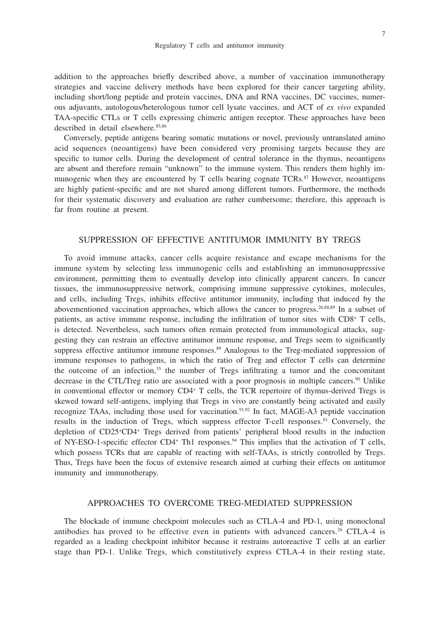addition to the approaches briefly described above, a number of vaccination immunotherapy strategies and vaccine delivery methods have been explored for their cancer targeting ability, including short/long peptide and protein vaccines, DNA and RNA vaccines, DC vaccines, numerous adjuvants, autologous/heterologous tumor cell lysate vaccines, and ACT of *ex vivo* expanded TAA-specific CTLs or T cells expressing chimeric antigen receptor. These approaches have been described in detail elsewhere.<sup>85,86</sup>

Conversely, peptide antigens bearing somatic mutations or novel, previously untranslated amino acid sequences (neoantigens) have been considered very promising targets because they are specific to tumor cells. During the development of central tolerance in the thymus, neoantigens are absent and therefore remain "unknown" to the immune system. This renders them highly immunogenic when they are encountered by  $T$  cells bearing cognate  $TCRs$ <sup>87</sup> However, neoantigens are highly patient-specific and are not shared among different tumors. Furthermore, the methods for their systematic discovery and evaluation are rather cumbersome; therefore, this approach is far from routine at present.

## SUPPRESSION OF EFFECTIVE ANTITUMOR IMMUNITY BY TREGS

To avoid immune attacks, cancer cells acquire resistance and escape mechanisms for the immune system by selecting less immunogenic cells and establishing an immunosuppressive environment, permitting them to eventually develop into clinically apparent cancers. In cancer tissues, the immunosuppressive network, comprising immune suppressive cytokines, molecules, and cells, including Tregs, inhibits effective antitumor immunity, including that induced by the abovementioned vaccination approaches, which allows the cancer to progress.26,88,89 In a subset of patients, an active immune response, including the infiltration of tumor sites with CD8<sup>+</sup> T cells, is detected. Nevertheless, such tumors often remain protected from immunological attacks, suggesting they can restrain an effective antitumor immune response, and Tregs seem to significantly suppress effective antitumor immune responses.<sup>89</sup> Analogous to the Treg-mediated suppression of immune responses to pathogens, in which the ratio of Treg and effector T cells can determine the outcome of an infection, $35$  the number of Tregs infiltrating a tumor and the concomitant decrease in the CTL/Treg ratio are associated with a poor prognosis in multiple cancers.<sup>90</sup> Unlike in conventional effector or memory CD4+ T cells, the TCR repertoire of thymus-derived Tregs is skewed toward self-antigens, implying that Tregs in vivo are constantly being activated and easily recognize TAAs, including those used for vaccination.<sup>91,92</sup> In fact, MAGE-A3 peptide vaccination results in the induction of Tregs, which suppress effector T-cell responses.93 Conversely, the depletion of CD25<sup>+</sup>CD4<sup>+</sup> Tregs derived from patients' peripheral blood results in the induction of NY-ESO-1-specific effector CD4<sup>+</sup> Th1 responses.<sup>94</sup> This implies that the activation of T cells, which possess TCRs that are capable of reacting with self-TAAs, is strictly controlled by Tregs. Thus, Tregs have been the focus of extensive research aimed at curbing their effects on antitumor immunity and immunotherapy.

## APPROACHES TO OVERCOME TREG-MEDIATED SUPPRESSION

The blockade of immune checkpoint molecules such as CTLA-4 and PD-1, using monoclonal antibodies has proved to be effective even in patients with advanced cancers.26 CTLA-4 is regarded as a leading checkpoint inhibitor because it restrains autoreactive T cells at an earlier stage than PD-1. Unlike Tregs, which constitutively express CTLA-4 in their resting state,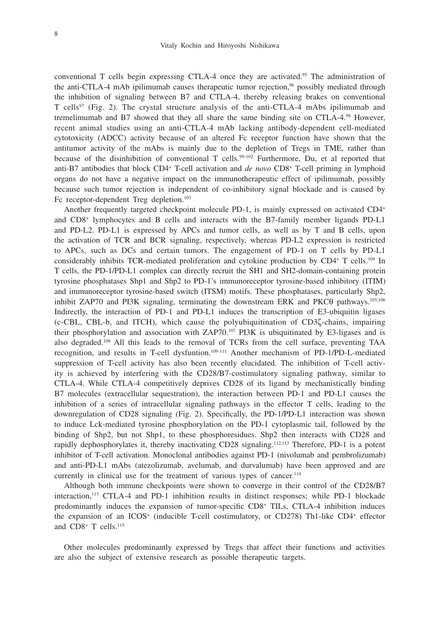conventional T cells begin expressing CTLA-4 once they are activated.<sup>95</sup> The administration of the anti-CTLA-4 mAb ipilimumab causes therapeutic tumor rejection,<sup>96</sup> possibly mediated through the inhibition of signaling between B7 and CTLA-4, thereby releasing brakes on conventional T cells<sup>97</sup> (Fig. 2). The crystal structure analysis of the anti-CTLA-4 mAbs ipilimumab and tremelimumab and B7 showed that they all share the same binding site on CTLA-4.98 However, recent animal studies using an anti-CTLA-4 mAb lacking antibody-dependent cell-mediated cytotoxicity (ADCC) activity because of an altered Fc receptor function have shown that the antitumor activity of the mAbs is mainly due to the depletion of Tregs in TME, rather than because of the disinhibition of conventional T cells.<sup>99-102</sup> Furthermore, Du, et al reported that anti-B7 antibodies that block CD4+ T-cell activation and *de novo* CD8+ T-cell priming in lymphoid organs do not have a negative impact on the immunotherapeutic effect of ipilimumab, possibly because such tumor rejection is independent of co-inhibitory signal blockade and is caused by Fc receptor-dependent Treg depletion.<sup>103</sup>

Another frequently targeted checkpoint molecule PD-1, is mainly expressed on activated CD4+ and CD8+ lymphocytes and B cells and interacts with the B7-family member ligands PD-L1 and PD-L2. PD-L1 is expressed by APCs and tumor cells, as well as by T and B cells, upon the activation of TCR and BCR signaling, respectively, whereas PD-L2 expression is restricted to APCs, such as DCs and certain tumors. The engagement of PD-1 on T cells by PD-L1 considerably inhibits TCR-mediated proliferation and cytokine production by CD4+ T cells.104 In T cells, the PD-1/PD-L1 complex can directly recruit the SH1 and SH2-domain-containing protein tyrosine phosphatases Shp1 and Shp2 to PD-1's immunoreceptor tyrosine-based inhibitory (ITIM) and immunoreceptor tyrosine-based switch (ITSM) motifs. These phosphatases, particularly Shp2, inhibit ZAP70 and PI3K signaling, terminating the downstream ERK and PKCθ pathways.105,106 Indirectly, the interaction of PD-1 and PD-L1 induces the transcription of E3-ubiquitin ligases (c-CBL, CBL-b, and ITCH), which cause the polyubiquitination of CD3ζ-chains, impairing their phosphorylation and association with ZAP70.107 PI3K is ubiquitinated by E3-ligases and is also degraded.108 All this leads to the removal of TCRs from the cell surface, preventing TAA recognition, and results in T-cell dysfuntion.109-111 Another mechanism of PD-1/PD-L-mediated suppression of T-cell activity has also been recently elucidated. The inhibition of T-cell activity is achieved by interfering with the CD28/B7-costimulatory signaling pathway, similar to CTLA-4. While CTLA-4 competitively deprives CD28 of its ligand by mechanistically binding B7 molecules (extracellular sequestration), the interaction between PD-1 and PD-L1 causes the inhibition of a series of intracellular signaling pathways in the effector T cells, leading to the downregulation of CD28 signaling (Fig. 2). Specifically, the PD-1/PD-L1 interaction was shown to induce Lck-mediated tyrosine phosphorylation on the PD-1 cytoplasmic tail, followed by the binding of Shp2, but not Shp1, to these phosphoresidues. Shp2 then interacts with CD28 and rapidly dephosphorylates it, thereby inactivating CD28 signaling.<sup>112,113</sup> Therefore, PD-1 is a potent inhibitor of T-cell activation. Monoclonal antibodies against PD-1 (nivolumab and pembrolizumab) and anti-PD-L1 mAbs (atezolizumab, avelumab, and durvalumab) have been approved and are currently in clinical use for the treatment of various types of cancer.<sup>114</sup>

Although both immune checkpoints were shown to converge in their control of the CD28/B7 interaction,113 CTLA-4 and PD-1 inhibition results in distinct responses; while PD-1 blockade predominantly induces the expansion of tumor-specific CD8+ TILs, CTLA-4 inhibition induces the expansion of an ICOS<sup>+</sup> (inducible T-cell costimulatory, or CD278) Th1-like CD4<sup>+</sup> effector and CD8+ T cells.115

Other molecules predominantly expressed by Tregs that affect their functions and activities are also the subject of extensive research as possible therapeutic targets.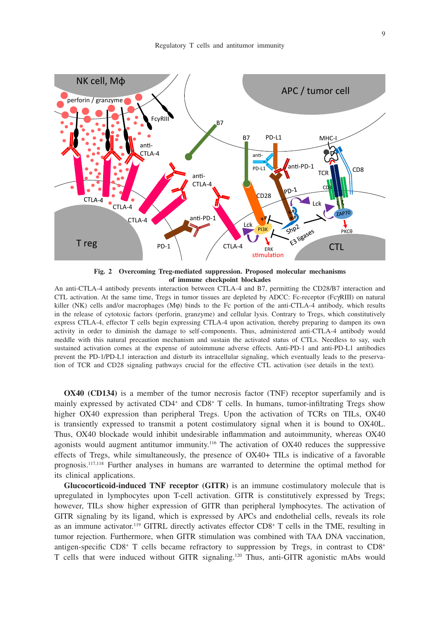

**Fig. 2 Overcoming Treg-mediated suppression. Proposed molecular mechanisms of immune checkpoint blockades**

An anti-CTLA-4 antibody prevents interaction between CTLA-4 and B7, permitting the CD28/B7 interaction and CTL activation. At the same time, Tregs in tumor tissues are depleted by ADCC: Fc-receptor (FcγRIII) on natural killer (NK) cells and/or macrophages (Mφ) binds to the Fc portion of the anti-CTLA-4 antibody, which results in the release of cytotoxic factors (perforin, granzyme) and cellular lysis. Contrary to Tregs, which constitutively express CTLA-4, effector T cells begin expressing CTLA-4 upon activation, thereby preparing to dampen its own activity in order to diminish the damage to self-components. Thus, administered anti-CTLA-4 antibody would meddle with this natural precaution mechanism and sustain the activated status of CTLs. Needless to say, such sustained activation comes at the expense of autoimmune adverse effects. Anti-PD-1 and anti-PD-L1 antibodies prevent the PD-1/PD-L1 interaction and disturb its intracellular signaling, which eventually leads to the preservation of TCR and CD28 signaling pathways crucial for the effective CTL activation (see details in the text).

**OX40 (CD134)** is a member of the tumor necrosis factor (TNF) receptor superfamily and is mainly expressed by activated CD4<sup>+</sup> and CD8<sup>+</sup> T cells. In humans, tumor-infiltrating Tregs show higher OX40 expression than peripheral Tregs. Upon the activation of TCRs on TILs, OX40 is transiently expressed to transmit a potent costimulatory signal when it is bound to OX40L. Thus, OX40 blockade would inhibit undesirable inflammation and autoimmunity, whereas OX40 agonists would augment antitumor immunity.116 The activation of OX40 reduces the suppressive effects of Tregs, while simultaneously, the presence of OX40+ TILs is indicative of a favorable prognosis.117,118 Further analyses in humans are warranted to determine the optimal method for its clinical applications.

**Glucocorticoid-induced TNF receptor (GITR)** is an immune costimulatory molecule that is upregulated in lymphocytes upon T-cell activation. GITR is constitutively expressed by Tregs; however, TILs show higher expression of GITR than peripheral lymphocytes. The activation of GITR signaling by its ligand, which is expressed by APCs and endothelial cells, reveals its role as an immune activator.<sup>119</sup> GITRL directly activates effector CD8<sup>+</sup> T cells in the TME, resulting in tumor rejection. Furthermore, when GITR stimulation was combined with TAA DNA vaccination, antigen-specific CD8+ T cells became refractory to suppression by Tregs, in contrast to CD8+ T cells that were induced without GITR signaling.120 Thus, anti-GITR agonistic mAbs would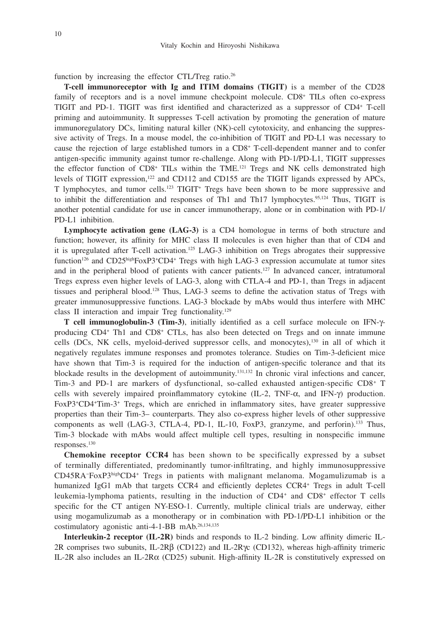function by increasing the effector CTL/Treg ratio.<sup>26</sup>

**T-cell immunoreceptor with Ig and ITIM domains (TIGIT)** is a member of the CD28 family of receptors and is a novel immune checkpoint molecule. CD8<sup>+</sup> TILs often co-express TIGIT and PD-1. TIGIT was first identified and characterized as a suppressor of CD4+ T-cell priming and autoimmunity. It suppresses T-cell activation by promoting the generation of mature immunoregulatory DCs, limiting natural killer (NK)-cell cytotoxicity, and enhancing the suppressive activity of Tregs. In a mouse model, the co-inhibition of TIGIT and PD-L1 was necessary to cause the rejection of large established tumors in a CD8+ T-cell-dependent manner and to confer antigen-specific immunity against tumor re-challenge. Along with PD-1/PD-L1, TIGIT suppresses the effector function of CD8<sup>+</sup> TILs within the TME.<sup>121</sup> Tregs and NK cells demonstrated high levels of TIGIT expression,122 and CD112 and CD155 are the TIGIT ligands expressed by APCs, T lymphocytes, and tumor cells.<sup>123</sup> TIGIT<sup>+</sup> Tregs have been shown to be more suppressive and to inhibit the differentiation and responses of Th1 and Th17 lymphocytes.<sup>95,124</sup> Thus, TIGIT is another potential candidate for use in cancer immunotherapy, alone or in combination with PD-1/ PD-L1 inhibition.

**Lymphocyte activation gene (LAG-3)** is a CD4 homologue in terms of both structure and function; however, its affinity for MHC class II molecules is even higher than that of CD4 and it is upregulated after T-cell activation.125 LAG-3 inhibition on Tregs abrogates their suppressive function<sup>126</sup> and CD25<sup>high</sup>FoxP3<sup>+</sup>CD4<sup>+</sup> Tregs with high LAG-3 expression accumulate at tumor sites and in the peripheral blood of patients with cancer patients.127 In advanced cancer, intratumoral Tregs express even higher levels of LAG-3, along with CTLA-4 and PD-1, than Tregs in adjacent tissues and peripheral blood.128 Thus, LAG-3 seems to define the activation status of Tregs with greater immunosuppressive functions. LAG-3 blockade by mAbs would thus interfere with MHC class II interaction and impair Treg functionality.129

**T cell immunoglobulin-3 (Tim-3)**, initially identified as a cell surface molecule on IFN-γproducing CD4+ Th1 and CD8+ CTLs, has also been detected on Tregs and on innate immune cells (DCs, NK cells, myeloid-derived suppressor cells, and monocytes),130 in all of which it negatively regulates immune responses and promotes tolerance. Studies on Tim-3-deficient mice have shown that Tim-3 is required for the induction of antigen-specific tolerance and that its blockade results in the development of autoimmunity.131,132 In chronic viral infections and cancer, Tim-3 and PD-1 are markers of dysfunctional, so-called exhausted antigen-specific CD8+ T cells with severely impaired proinflammatory cytokine (IL-2, TNF-α, and IFN-γ) production. FoxP3<sup>+</sup>CD4<sup>+</sup>Tim-3<sup>+</sup> Tregs, which are enriched in inflammatory sites, have greater suppressive properties than their Tim-3– counterparts. They also co-express higher levels of other suppressive components as well (LAG-3, CTLA-4, PD-1, IL-10, FoxP3, granzyme, and perforin).133 Thus, Tim-3 blockade with mAbs would affect multiple cell types, resulting in nonspecific immune responses.130

**Chemokine receptor CCR4** has been shown to be specifically expressed by a subset of terminally differentiated, predominantly tumor-infiltrating, and highly immunosuppressive CD45RA−FoxP3highCD4+ Tregs in patients with malignant melanoma. Mogamulizumab is a humanized IgG1 mAb that targets CCR4 and efficiently depletes CCR4+ Tregs in adult T-cell leukemia-lymphoma patients, resulting in the induction of  $CD4<sup>+</sup>$  and  $CD8<sup>+</sup>$  effector T cells specific for the CT antigen NY-ESO-1. Currently, multiple clinical trials are underway, either using mogamulizumab as a monotherapy or in combination with PD-1/PD-L1 inhibition or the costimulatory agonistic anti-4-1-BB mAb.26,134,135

**Interleukin-2 receptor (IL-2R)** binds and responds to IL-2 binding. Low affinity dimeric IL-2R comprises two subunits, IL-2Rβ (CD122) and IL-2Rγc (CD132), whereas high-affinity trimeric IL-2R also includes an IL-2Rα (CD25) subunit. High-affinity IL-2R is constitutively expressed on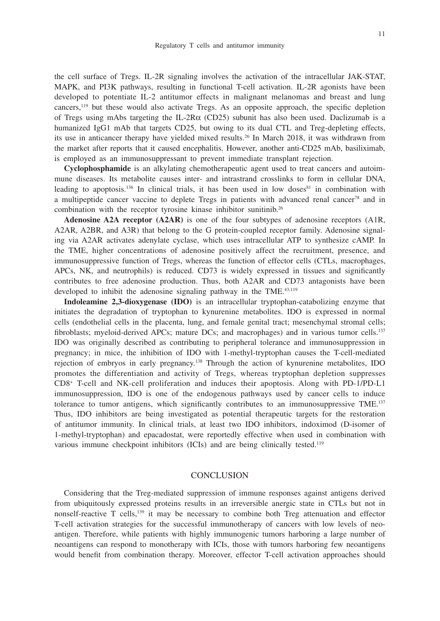the cell surface of Tregs. IL-2R signaling involves the activation of the intracellular JAK-STAT, MAPK, and PI3K pathways, resulting in functional T-cell activation. IL-2R agonists have been developed to potentiate IL-2 antitumor effects in malignant melanomas and breast and lung cancers,119 but these would also activate Tregs. As an opposite approach, the specific depletion of Tregs using mAbs targeting the IL-2R $\alpha$  (CD25) subunit has also been used. Daclizumab is a humanized IgG1 mAb that targets CD25, but owing to its dual CTL and Treg-depleting effects, its use in anticancer therapy have yielded mixed results.26 In March 2018, it was withdrawn from the market after reports that it caused encephalitis. However, another anti-CD25 mAb, basiliximab, is employed as an immunosuppressant to prevent immediate transplant rejection.

**Cyclophosphamide** is an alkylating chemotherapeutic agent used to treat cancers and autoimmune diseases. Its metabolite causes inter- and intrastrand crosslinks to form in cellular DNA, leading to apoptosis.<sup>136</sup> In clinical trials, it has been used in low doses<sup>81</sup> in combination with a multipeptide cancer vaccine to deplete Tregs in patients with advanced renal cancer<sup>78</sup> and in combination with the receptor tyrosine kinase inhibitor sunitinib.26

**Adenosine A2A receptor (A2AR)** is one of the four subtypes of adenosine receptors (A1R, A2AR, A2BR, and A3R) that belong to the G protein-coupled receptor family. Adenosine signaling via A2AR activates adenylate cyclase, which uses intracellular ATP to synthesize cAMP. In the TME, higher concentrations of adenosine positively affect the recruitment, presence, and immunosuppressive function of Tregs, whereas the function of effector cells (CTLs, macrophages, APCs, NK, and neutrophils) is reduced. CD73 is widely expressed in tissues and significantly contributes to free adenosine production. Thus, both A2AR and CD73 antagonists have been developed to inhibit the adenosine signaling pathway in the TME.<sup>43,119</sup>

**Indoleamine 2,3-dioxygenase (IDO)** is an intracellular tryptophan-catabolizing enzyme that initiates the degradation of tryptophan to kynurenine metabolites. IDO is expressed in normal cells (endothelial cells in the placenta, lung, and female genital tract; mesenchymal stromal cells; fibroblasts; myeloid-derived APCs; mature DCs; and macrophages) and in various tumor cells.<sup>137</sup> IDO was originally described as contributing to peripheral tolerance and immunosuppression in pregnancy; in mice, the inhibition of IDO with 1-methyl-tryptophan causes the T-cell-mediated rejection of embryos in early pregnancy.138 Through the action of kynurenine metabolites, IDO promotes the differentiation and activity of Tregs, whereas tryptophan depletion suppresses CD8+ T-cell and NK-cell proliferation and induces their apoptosis. Along with PD-1/PD-L1 immunosuppression, IDO is one of the endogenous pathways used by cancer cells to induce tolerance to tumor antigens, which significantly contributes to an immunosuppressive TME.<sup>137</sup> Thus, IDO inhibitors are being investigated as potential therapeutic targets for the restoration of antitumor immunity. In clinical trials, at least two IDO inhibitors, indoximod (D-isomer of 1-methyl-tryptophan) and epacadostat, were reportedly effective when used in combination with various immune checkpoint inhibitors (ICIs) and are being clinically tested.<sup>119</sup>

#### **CONCLUSION**

Considering that the Treg-mediated suppression of immune responses against antigens derived from ubiquitously expressed proteins results in an irreversible anergic state in CTLs but not in nonself-reactive  $T$  cells,<sup>139</sup> it may be necessary to combine both Treg attenuation and effector T-cell activation strategies for the successful immunotherapy of cancers with low levels of neoantigen. Therefore, while patients with highly immunogenic tumors harboring a large number of neoantigens can respond to monotherapy with ICIs, those with tumors harboring few neoantigens would benefit from combination therapy. Moreover, effector T-cell activation approaches should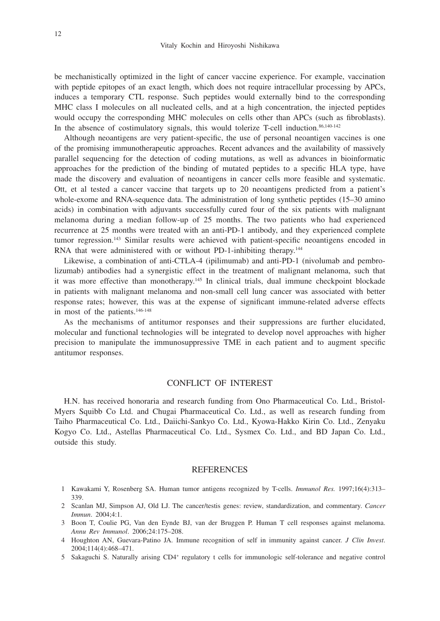be mechanistically optimized in the light of cancer vaccine experience. For example, vaccination with peptide epitopes of an exact length, which does not require intracellular processing by APCs, induces a temporary CTL response. Such peptides would externally bind to the corresponding MHC class I molecules on all nucleated cells, and at a high concentration, the injected peptides would occupy the corresponding MHC molecules on cells other than APCs (such as fibroblasts). In the absence of costimulatory signals, this would tolerize T-cell induction. $86,140-142$ 

Although neoantigens are very patient-specific, the use of personal neoantigen vaccines is one of the promising immunotherapeutic approaches. Recent advances and the availability of massively parallel sequencing for the detection of coding mutations, as well as advances in bioinformatic approaches for the prediction of the binding of mutated peptides to a specific HLA type, have made the discovery and evaluation of neoantigens in cancer cells more feasible and systematic. Ott, et al tested a cancer vaccine that targets up to 20 neoantigens predicted from a patient's whole-exome and RNA-sequence data. The administration of long synthetic peptides (15–30 amino acids) in combination with adjuvants successfully cured four of the six patients with malignant melanoma during a median follow-up of 25 months. The two patients who had experienced recurrence at 25 months were treated with an anti-PD-1 antibody, and they experienced complete tumor regression.143 Similar results were achieved with patient-specific neoantigens encoded in RNA that were administered with or without PD-1-inhibiting therapy.<sup>144</sup>

Likewise, a combination of anti-CTLA-4 (ipilimumab) and anti-PD-1 (nivolumab and pembrolizumab) antibodies had a synergistic effect in the treatment of malignant melanoma, such that it was more effective than monotherapy.145 In clinical trials, dual immune checkpoint blockade in patients with malignant melanoma and non-small cell lung cancer was associated with better response rates; however, this was at the expense of significant immune-related adverse effects in most of the patients.146-148

As the mechanisms of antitumor responses and their suppressions are further elucidated, molecular and functional technologies will be integrated to develop novel approaches with higher precision to manipulate the immunosuppressive TME in each patient and to augment specific antitumor responses.

## CONFLICT OF INTEREST

H.N. has received honoraria and research funding from Ono Pharmaceutical Co. Ltd., Bristol-Myers Squibb Co Ltd. and Chugai Pharmaceutical Co. Ltd., as well as research funding from Taiho Pharmaceutical Co. Ltd., Daiichi-Sankyo Co. Ltd., Kyowa-Hakko Kirin Co. Ltd., Zenyaku Kogyo Co. Ltd., Astellas Pharmaceutical Co. Ltd., Sysmex Co. Ltd., and BD Japan Co. Ltd., outside this study.

## **REFERENCES**

- 1 Kawakami Y, Rosenberg SA. Human tumor antigens recognized by T-cells. *Immunol Res.* 1997;16(4):313– 339.
- 2 Scanlan MJ, Simpson AJ, Old LJ. The cancer/testis genes: review, standardization, and commentary. *Cancer Immun*. 2004;4:1.
- 3 Boon T, Coulie PG, Van den Eynde BJ, van der Bruggen P. Human T cell responses against melanoma. *Annu Rev Immunol*. 2006;24:175–208.
- 4 Houghton AN, Guevara-Patino JA. Immune recognition of self in immunity against cancer. *J Clin Invest*. 2004;114(4):468–471.
- 5 Sakaguchi S. Naturally arising CD4+ regulatory t cells for immunologic self-tolerance and negative control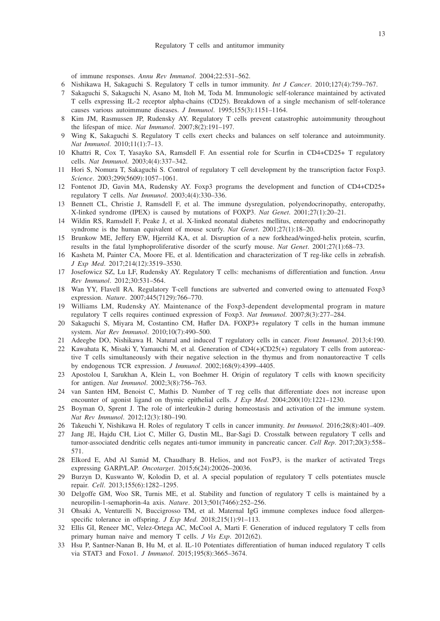of immune responses. *Annu Rev Immunol*. 2004;22:531–562.

- 6 Nishikawa H, Sakaguchi S. Regulatory T cells in tumor immunity. *Int J Cancer*. 2010;127(4):759–767.
- 7 Sakaguchi S, Sakaguchi N, Asano M, Itoh M, Toda M. Immunologic self-tolerance maintained by activated T cells expressing IL-2 receptor alpha-chains (CD25). Breakdown of a single mechanism of self-tolerance causes various autoimmune diseases. *J Immunol*. 1995;155(3):1151–1164.
- 8 Kim JM, Rasmussen JP, Rudensky AY. Regulatory T cells prevent catastrophic autoimmunity throughout the lifespan of mice. *Nat Immunol*. 2007;8(2):191–197.
- Wing K, Sakaguchi S. Regulatory T cells exert checks and balances on self tolerance and autoimmunity. *Nat Immunol*. 2010;11(1):7–13.
- 10 Khattri R, Cox T, Yasayko SA, Ramsdell F. An essential role for Scurfin in CD4+CD25+ T regulatory cells. *Nat Immunol*. 2003;4(4):337–342.
- 11 Hori S, Nomura T, Sakaguchi S. Control of regulatory T cell development by the transcription factor Foxp3. *Science*. 2003;299(5609):1057–1061.
- 12 Fontenot JD, Gavin MA, Rudensky AY. Foxp3 programs the development and function of CD4+CD25+ regulatory T cells. *Nat Immunol*. 2003;4(4):330–336.
- 13 Bennett CL, Christie J, Ramsdell F, et al. The immune dysregulation, polyendocrinopathy, enteropathy, X-linked syndrome (IPEX) is caused by mutations of FOXP3. *Nat Genet*. 2001;27(1):20–21.
- 14 Wildin RS, Ramsdell F, Peake J, et al. X-linked neonatal diabetes mellitus, enteropathy and endocrinopathy syndrome is the human equivalent of mouse scurfy. *Nat Genet*. 2001;27(1):18–20.
- 15 Brunkow ME, Jeffery EW, Hjerrild KA, et al. Disruption of a new forkhead/winged-helix protein, scurfin, results in the fatal lymphoproliferative disorder of the scurfy mouse. *Nat Genet*. 2001;27(1):68–73.
- 16 Kasheta M, Painter CA, Moore FE, et al. Identification and characterization of T reg-like cells in zebrafish. *J Exp Med*. 2017;214(12):3519–3530.
- 17 Josefowicz SZ, Lu LF, Rudensky AY. Regulatory T cells: mechanisms of differentiation and function. *Annu Rev Immunol*. 2012;30:531–564.
- 18 Wan YY, Flavell RA. Regulatory T-cell functions are subverted and converted owing to attenuated Foxp3 expression. *Nature*. 2007;445(7129):766–770.
- 19 Williams LM, Rudensky AY. Maintenance of the Foxp3-dependent developmental program in mature regulatory T cells requires continued expression of Foxp3. *Nat Immunol*. 2007;8(3):277–284.
- 20 Sakaguchi S, Miyara M, Costantino CM, Hafler DA. FOXP3+ regulatory T cells in the human immune system. *Nat Rev Immunol*. 2010;10(7):490–500.
- 21 Adeegbe DO, Nishikawa H. Natural and induced T regulatory cells in cancer. *Front Immunol*. 2013;4:190.
- 22 Kawahata K, Misaki Y, Yamauchi M, et al. Generation of CD4(+)CD25(+) regulatory T cells from autoreactive T cells simultaneously with their negative selection in the thymus and from nonautoreactive T cells by endogenous TCR expression. *J Immunol*. 2002;168(9):4399–4405.
- 23 Apostolou I, Sarukhan A, Klein L, von Boehmer H. Origin of regulatory T cells with known specificity for antigen. *Nat Immunol*. 2002;3(8):756–763.
- 24 van Santen HM, Benoist C, Mathis D. Number of T reg cells that differentiate does not increase upon encounter of agonist ligand on thymic epithelial cells. *J Exp Med*. 2004;200(10):1221–1230.
- 25 Boyman O, Sprent J. The role of interleukin-2 during homeostasis and activation of the immune system. *Nat Rev Immunol*. 2012;12(3):180–190.
- 26 Takeuchi Y, Nishikawa H. Roles of regulatory T cells in cancer immunity. *Int Immunol*. 2016;28(8):401–409.
- 27 Jang JE, Hajdu CH, Liot C, Miller G, Dustin ML, Bar-Sagi D. Crosstalk between regulatory T cells and tumor-associated dendritic cells negates anti-tumor immunity in pancreatic cancer. *Cell Rep*. 2017;20(3):558– 571.
- 28 Elkord E, Abd Al Samid M, Chaudhary B. Helios, and not FoxP3, is the marker of activated Tregs expressing GARP/LAP. *Oncotarget*. 2015;6(24):20026–20036.
- 29 Burzyn D, Kuswanto W, Kolodin D, et al. A special population of regulatory T cells potentiates muscle repair. *Cell*. 2013;155(6):1282–1295.
- 30 Delgoffe GM, Woo SR, Turnis ME, et al. Stability and function of regulatory T cells is maintained by a neuropilin-1-semaphorin-4a axis. *Nature*. 2013;501(7466):252–256.
- 31 Ohsaki A, Venturelli N, Buccigrosso TM, et al. Maternal IgG immune complexes induce food allergenspecific tolerance in offspring. *J Exp Med*. 2018;215(1):91–113.
- 32 Ellis GI, Reneer MC, Velez-Ortega AC, McCool A, Marti F. Generation of induced regulatory T cells from primary human naive and memory T cells. *J Vis Exp*. 2012(62).
- 33 Hsu P, Santner-Nanan B, Hu M, et al. IL-10 Potentiates differentiation of human induced regulatory T cells via STAT3 and Foxo1. *J Immunol*. 2015;195(8):3665–3674.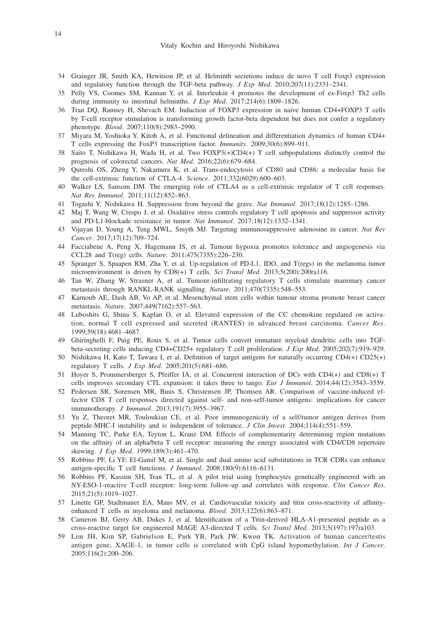- 34 Grainger JR, Smith KA, Hewitson JP, et al. Helminth secretions induce de novo T cell Foxp3 expression and regulatory function through the TGF-beta pathway. *J Exp Med*. 2010;207(11):2331–2341.
- 35 Pelly VS, Coomes SM, Kannan Y, et al. Interleukin 4 promotes the development of ex-Foxp3 Th2 cells during immunity to intestinal helminths. *J Exp Med*. 2017;214(6):1809–1826.
- 36 Tran DQ, Ramsey H, Shevach EM. Induction of FOXP3 expression in naive human CD4+FOXP3 T cells by T-cell receptor stimulation is transforming growth factor-beta dependent but does not confer a regulatory phenotype. *Blood*. 2007;110(8):2983–2990.
- 37 Miyara M, Yoshioka Y, Kitoh A, et al. Functional delineation and differentiation dynamics of human CD4+ T cells expressing the FoxP3 transcription factor. *Immunity*. 2009;30(6):899–911.
- 38 Saito T, Nishikawa H, Wada H, et al. Two FOXP3(+)CD4(+) T cell subpopulations distinctly control the prognosis of colorectal cancers. *Nat Med*. 2016;22(6):679–684.
- 39 Qureshi OS, Zheng Y, Nakamura K, et al. Trans-endocytosis of CD80 and CD86: a molecular basis for the cell-extrinsic function of CTLA-4. *Science*. 2011;332(6029):600–603.
- 40 Walker LS, Sansom DM. The emerging role of CTLA4 as a cell-extrinsic regulator of T cell responses. *Nat Rev Immunol*. 2011;11(12):852–863.
- 41 Togashi Y, Nishikawa H. Suppression from beyond the grave. *Nat Immunol*. 2017;18(12):1285–1286.
- 42 Maj T, Wang W, Crespo J, et al. Oxidative stress controls regulatory T cell apoptosis and suppressor activity and PD-L1-blockade resistance in tumor. *Nat Immunol*. 2017;18(12):1332–1341.
- 43 Vijayan D, Young A, Teng MWL, Smyth MJ. Targeting immunosuppressive adenosine in cancer. *Nat Rev Cancer*. 2017;17(12):709–724.
- 44 Facciabene A, Peng X, Hagemann IS, et al. Tumour hypoxia promotes tolerance and angiogenesis via CCL28 and T(reg) cells. *Nature*. 2011;475(7355):226–230.
- 45 Spranger S, Spaapen RM, Zha Y, et al. Up-regulation of PD-L1, IDO, and T(regs) in the melanoma tumor microenvironment is driven by CD8(+) T cells. *Sci Transl Med*. 2013;5(200):200ra116.
- 46 Tan W, Zhang W, Strasner A, et al. Tumour-infiltrating regulatory T cells stimulate mammary cancer metastasis through RANKL-RANK signalling. *Nature*. 2011;470(7335):548–553.
- 47 Karnoub AE, Dash AB, Vo AP, et al. Mesenchymal stem cells within tumour stroma promote breast cancer metastasis. *Nature*. 2007;449(7162):557–563.
- 48 Luboshits G, Shina S, Kaplan O, et al. Elevated expression of the CC chemokine regulated on activation, normal T cell expressed and secreted (RANTES) in advanced breast carcinoma. *Cancer Res*. 1999;59(18):4681–4687.
- 49 Ghiringhelli F, Puig PE, Roux S, et al. Tumor cells convert immature myeloid dendritic cells into TGFbeta-secreting cells inducing CD4+CD25+ regulatory T cell proliferation. *J Exp Med*. 2005;202(7):919–929.
- 50 Nishikawa H, Kato T, Tawara I, et al. Definition of target antigens for naturally occurring CD4(+) CD25(+) regulatory T cells. *J Exp Med*. 2005;201(5):681–686.
- 51 Hoyer S, Prommersberger S, Pfeiffer IA, et al. Concurrent interaction of DCs with CD4(+) and CD8(+) T cells improves secondary CTL expansion: it takes three to tango. *Eur J Immunol*. 2014;44(12):3543–3559.
- 52 Pedersen SR, Sorensen MR, Buus S, Christensen JP, Thomsen AR. Comparison of vaccine-induced effector CD8 T cell responses directed against self- and non-self-tumor antigens: implications for cancer immunotherapy. *J Immunol*. 2013;191(7):3955–3967.
- 53 Yu Z, Theoret MR, Touloukian CE, et al. Poor immunogenicity of a self/tumor antigen derives from peptide-MHC-I instability and is independent of tolerance. *J Clin Invest*. 2004;114(4):551–559.
- 54 Manning TC, Parke EA, Teyton L, Kranz DM. Effects of complementarity determining region mutations on the affinity of an alpha/beta T cell receptor: measuring the energy associated with CD4/CD8 repertoire skewing. *J Exp Med*. 1999;189(3):461–470.
- 55 Robbins PF, Li YF, El-Gamil M, et al. Single and dual amino acid substitutions in TCR CDRs can enhance antigen-specific T cell functions. *J Immunol*. 2008;180(9):6116–6131.
- 56 Robbins PF, Kassim SH, Tran TL, et al. A pilot trial using lymphocytes genetically engineered with an NY-ESO-1-reactive T-cell receptor: long-term follow-up and correlates with response. *Clin Cancer Res*. 2015;21(5):1019–1027.
- 57 Linette GP, Stadtmauer EA, Maus MV, et al. Cardiovascular toxicity and titin cross-reactivity of affinityenhanced T cells in myeloma and melanoma. *Blood*. 2013;122(6):863–871.
- 58 Cameron BJ, Gerry AB, Dukes J, et al. Identification of a Titin-derived HLA-A1-presented peptide as a cross-reactive target for engineered MAGE A3-directed T cells. *Sci Transl Med*. 2013;5(197):197ra103.
- 59 Lim JH, Kim SP, Gabrielson E, Park YB, Park JW, Kwon TK. Activation of human cancer/testis antigen gene, XAGE-1, in tumor cells is correlated with CpG island hypomethylation. *Int J Cancer*. 2005;116(2):200–206.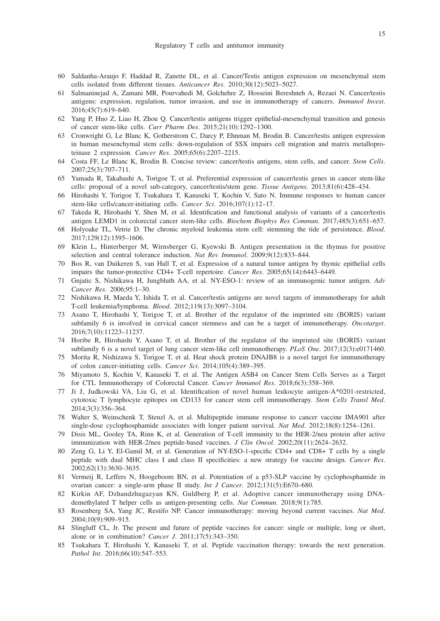- 60 Saldanha-Araujo F, Haddad R, Zanette DL, et al. Cancer/Testis antigen expression on mesenchymal stem cells isolated from different tissues. *Anticancer Res*. 2010;30(12):5023–5027.
- 61 Salmaninejad A, Zamani MR, Pourvahedi M, Golchehre Z, Hosseini Bereshneh A, Rezaei N. Cancer/testis antigens: expression, regulation, tumor invasion, and use in immunotherapy of cancers. *Immunol Invest*. 2016;45(7):619–640.
- 62 Yang P, Huo Z, Liao H, Zhou Q. Cancer/testis antigens trigger epithelial-mesenchymal transition and genesis of cancer stem-like cells. *Curr Pharm Des*. 2015;21(10):1292–1300.
- 63 Cronwright G, Le Blanc K, Gotherstrom C, Darcy P, Ehnman M, Brodin B. Cancer/testis antigen expression in human mesenchymal stem cells: down-regulation of SSX impairs cell migration and matrix metalloproteinase 2 expression. *Cancer Res*. 2005;65(6):2207–2215.
- 64 Costa FF, Le Blanc K, Brodin B. Concise review: cancer/testis antigens, stem cells, and cancer. *Stem Cells*. 2007;25(3):707–711.
- 65 Yamada R, Takahashi A, Torigoe T, et al. Preferential expression of cancer/testis genes in cancer stem-like cells: proposal of a novel sub-category, cancer/testis/stem gene. *Tissue Antigens*. 2013;81(6):428–434.
- 66 Hirohashi Y, Torigoe T, Tsukahara T, Kanaseki T, Kochin V, Sato N. Immune responses to human cancer stem-like cells/cancer-initiating cells. *Cancer Sci*. 2016;107(1):12–17.
- 67 Takeda R, Hirohashi Y, Shen M, et al. Identification and functional analysis of variants of a cancer/testis antigen LEMD1 in colorectal cancer stem-like cells. *Biochem Biophys Res Commun*. 2017;485(3):651–657.
- 68 Holyoake TL, Vetrie D. The chronic myeloid leukemia stem cell: stemming the tide of persistence. *Blood*. 2017;129(12):1595–1606.
- 69 Klein L, Hinterberger M, Wirnsberger G, Kyewski B. Antigen presentation in the thymus for positive selection and central tolerance induction. *Nat Rev Immunol*. 2009;9(12):833–844.
- 70 Bos R, van Duikeren S, van Hall T, et al. Expression of a natural tumor antigen by thymic epithelial cells impairs the tumor-protective CD4+ T-cell repertoire. *Cancer Res*. 2005;65(14):6443–6449.
- 71 Gnjatic S, Nishikawa H, Jungbluth AA, et al. NY-ESO-1: review of an immunogenic tumor antigen. *Adv Cancer Res*. 2006;95:1–30.
- 72 Nishikawa H, Maeda Y, Ishida T, et al. Cancer/testis antigens are novel targets of immunotherapy for adult T-cell leukemia/lymphoma. *Blood*. 2012;119(13):3097–3104.
- 73 Asano T, Hirohashi Y, Torigoe T, et al. Brother of the regulator of the imprinted site (BORIS) variant subfamily 6 is involved in cervical cancer stemness and can be a target of immunotherapy. *Oncotarget*. 2016;7(10):11223–11237.
- 74 Horibe R, Hirohashi Y, Asano T, et al. Brother of the regulator of the imprinted site (BORIS) variant subfamily 6 is a novel target of lung cancer stem-like cell immunotherapy. *PLoS One*. 2017;12(3):e0171460.
- 75 Morita R, Nishizawa S, Torigoe T, et al. Heat shock protein DNAJB8 is a novel target for immunotherapy of colon cancer-initiating cells. *Cancer Sci*. 2014;105(4):389–395.
- 76 Miyamoto S, Kochin V, Kanaseki T, et al. The Antigen ASB4 on Cancer Stem Cells Serves as a Target for CTL Immunotherapy of Colorectal Cancer. *Cancer Immunol Res*. 2018;6(3):358–369.
- 77 Ji J, Judkowski VA, Liu G, et al. Identification of novel human leukocyte antigen-A\*0201-restricted, cytotoxic T lymphocyte epitopes on CD133 for cancer stem cell immunotherapy. *Stem Cells Transl Med*. 2014;3(3):356–364.
- 78 Walter S, Weinschenk T, Stenzl A, et al. Multipeptide immune response to cancer vaccine IMA901 after single-dose cyclophosphamide associates with longer patient survival. *Nat Med*. 2012;18(8):1254-1261.
- 79 Disis ML, Gooley TA, Rinn K, et al. Generation of T-cell immunity to the HER-2/neu protein after active immunization with HER-2/neu peptide-based vaccines. *J Clin Oncol*. 2002;20(11):2624–2632.
- 80 Zeng G, Li Y, El-Gamil M, et al. Generation of NY-ESO-1-specific CD4+ and CD8+ T cells by a single peptide with dual MHC class I and class II specificities: a new strategy for vaccine design. *Cancer Res*. 2002;62(13):3630–3635.
- 81 Vermeij R, Leffers N, Hoogeboom BN, et al. Potentiation of a p53-SLP vaccine by cyclophosphamide in ovarian cancer: a single-arm phase II study. *Int J Cancer*. 2012;131(5):E670–680.
- 82 Kirkin AF, Dzhandzhugazyan KN, Guldberg P, et al. Adoptive cancer immunotherapy using DNAdemethylated T helper cells as antigen-presenting cells. *Nat Commun*. 2018;9(1):785.
- 83 Rosenberg SA, Yang JC, Restifo NP. Cancer immunotherapy: moving beyond current vaccines. *Nat Med*. 2004;10(9):909–915.
- 84 Slingluff CL, Jr. The present and future of peptide vaccines for cancer: single or multiple, long or short, alone or in combination? *Cancer J*. 2011;17(5):343–350.
- 85 Tsukahara T, Hirohashi Y, Kanaseki T, et al. Peptide vaccination therapy: towards the next generation. *Pathol Int*. 2016;66(10):547–553.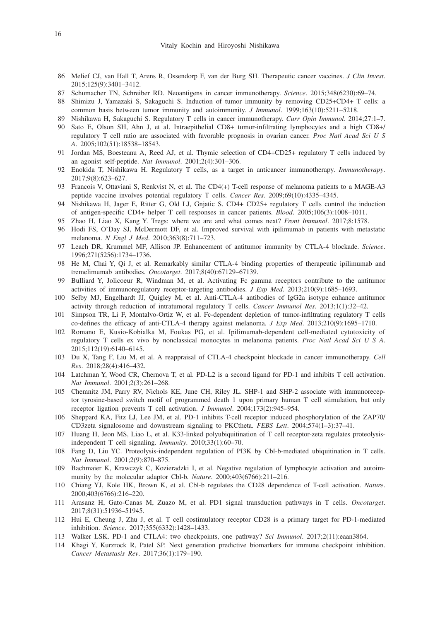- 86 Melief CJ, van Hall T, Arens R, Ossendorp F, van der Burg SH. Therapeutic cancer vaccines. *J Clin Invest*. 2015;125(9):3401–3412.
- 87 Schumacher TN, Schreiber RD. Neoantigens in cancer immunotherapy. *Science*. 2015;348(6230):69–74.
- 88 Shimizu J, Yamazaki S, Sakaguchi S. Induction of tumor immunity by removing CD25+CD4+ T cells: a common basis between tumor immunity and autoimmunity. *J Immunol*. 1999;163(10):5211–5218.
- 89 Nishikawa H, Sakaguchi S. Regulatory T cells in cancer immunotherapy. *Curr Opin Immunol*. 2014;27:1–7.
- 90 Sato E, Olson SH, Ahn J, et al. Intraepithelial CD8+ tumor-infiltrating lymphocytes and a high CD8+/ regulatory T cell ratio are associated with favorable prognosis in ovarian cancer. *Proc Natl Acad Sci U S A*. 2005;102(51):18538–18543.
- 91 Jordan MS, Boesteanu A, Reed AJ, et al. Thymic selection of CD4+CD25+ regulatory T cells induced by an agonist self-peptide. *Nat Immunol*. 2001;2(4):301–306.
- 92 Enokida T, Nishikawa H. Regulatory T cells, as a target in anticancer immunotherapy. *Immunotherapy*. 2017;9(8):623–627.
- 93 Francois V, Ottaviani S, Renkvist N, et al. The CD4(+) T-cell response of melanoma patients to a MAGE-A3 peptide vaccine involves potential regulatory T cells. *Cancer Res*. 2009;69(10):4335–4345.
- 94 Nishikawa H, Jager E, Ritter G, Old LJ, Gnjatic S. CD4+ CD25+ regulatory T cells control the induction of antigen-specific CD4+ helper T cell responses in cancer patients. *Blood*. 2005;106(3):1008–1011.
- 95 Zhao H, Liao X, Kang Y. Tregs: where we are and what comes next? *Front Immunol*. 2017;8:1578.
- 96 Hodi FS, O'Day SJ, McDermott DF, et al. Improved survival with ipilimumab in patients with metastatic melanoma. *N Engl J Med*. 2010;363(8):711–723.
- 97 Leach DR, Krummel MF, Allison JP. Enhancement of antitumor immunity by CTLA-4 blockade. *Science*. 1996;271(5256):1734–1736.
- 98 He M, Chai Y, Qi J, et al. Remarkably similar CTLA-4 binding properties of therapeutic ipilimumab and tremelimumab antibodies. *Oncotarget*. 2017;8(40):67129–67139.
- 99 Bulliard Y, Jolicoeur R, Windman M, et al. Activating Fc gamma receptors contribute to the antitumor activities of immunoregulatory receptor-targeting antibodies. *J Exp Med*. 2013;210(9):1685–1693.
- 100 Selby MJ, Engelhardt JJ, Quigley M, et al. Anti-CTLA-4 antibodies of IgG2a isotype enhance antitumor activity through reduction of intratumoral regulatory T cells. *Cancer Immunol Res*. 2013;1(1):32–42.
- 101 Simpson TR, Li F, Montalvo-Ortiz W, et al. Fc-dependent depletion of tumor-infiltrating regulatory T cells co-defines the efficacy of anti-CTLA-4 therapy against melanoma. *J Exp Med*. 2013;210(9):1695–1710.
- 102 Romano E, Kusio-Kobialka M, Foukas PG, et al. Ipilimumab-dependent cell-mediated cytotoxicity of regulatory T cells ex vivo by nonclassical monocytes in melanoma patients. *Proc Natl Acad Sci U S A*. 2015;112(19):6140–6145.
- 103 Du X, Tang F, Liu M, et al. A reappraisal of CTLA-4 checkpoint blockade in cancer immunotherapy. *Cell Res*. 2018;28(4):416–432.
- 104 Latchman Y, Wood CR, Chernova T, et al. PD-L2 is a second ligand for PD-1 and inhibits T cell activation. *Nat Immunol*. 2001;2(3):261–268.
- 105 Chemnitz JM, Parry RV, Nichols KE, June CH, Riley JL. SHP-1 and SHP-2 associate with immunoreceptor tyrosine-based switch motif of programmed death 1 upon primary human T cell stimulation, but only receptor ligation prevents T cell activation. *J Immunol*. 2004;173(2):945–954.
- 106 Sheppard KA, Fitz LJ, Lee JM, et al. PD-1 inhibits T-cell receptor induced phosphorylation of the ZAP70/ CD3zeta signalosome and downstream signaling to PKCtheta. *FEBS Lett*. 2004;574(1–3):37–41.
- 107 Huang H, Jeon MS, Liao L, et al. K33-linked polyubiquitination of T cell receptor-zeta regulates proteolysisindependent T cell signaling. *Immunity*. 2010;33(1):60–70.
- 108 Fang D, Liu YC. Proteolysis-independent regulation of PI3K by Cbl-b-mediated ubiquitination in T cells. *Nat Immunol*. 2001;2(9):870–875.
- 109 Bachmaier K, Krawczyk C, Kozieradzki I, et al. Negative regulation of lymphocyte activation and autoimmunity by the molecular adaptor Cbl-b. *Nature*. 2000;403(6766):211–216.
- 110 Chiang YJ, Kole HK, Brown K, et al. Cbl-b regulates the CD28 dependence of T-cell activation. *Nature*. 2000;403(6766):216–220.
- 111 Arasanz H, Gato-Canas M, Zuazo M, et al. PD1 signal transduction pathways in T cells. *Oncotarget*. 2017;8(31):51936–51945.
- 112 Hui E, Cheung J, Zhu J, et al. T cell costimulatory receptor CD28 is a primary target for PD-1-mediated inhibition. *Science*. 2017;355(6332):1428–1433.
- 113 Walker LSK. PD-1 and CTLA4: two checkpoints, one pathway? *Sci Immunol*. 2017;2(11):eaan3864.
- 114 Khagi Y, Kurzrock R, Patel SP. Next generation predictive biomarkers for immune checkpoint inhibition. *Cancer Metastasis Rev*. 2017;36(1):179–190.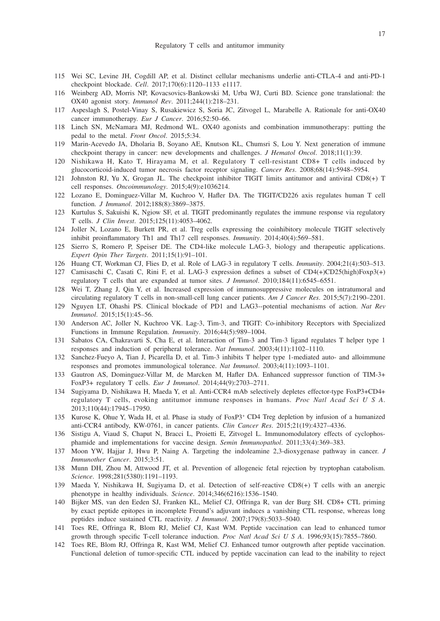- 115 Wei SC, Levine JH, Cogdill AP, et al. Distinct cellular mechanisms underlie anti-CTLA-4 and anti-PD-1 checkpoint blockade. *Cell*. 2017;170(6):1120–1133 e1117.
- 116 Weinberg AD, Morris NP, Kovacsovics-Bankowski M, Urba WJ, Curti BD. Science gone translational: the OX40 agonist story. *Immunol Rev*. 2011;244(1):218–231.
- 117 Aspeslagh S, Postel-Vinay S, Rusakiewicz S, Soria JC, Zitvogel L, Marabelle A. Rationale for anti-OX40 cancer immunotherapy. *Eur J Cancer*. 2016;52:50–66.
- 118 Linch SN, McNamara MJ, Redmond WL. OX40 agonists and combination immunotherapy: putting the pedal to the metal. *Front Oncol*. 2015;5:34.
- 119 Marin-Acevedo JA, Dholaria B, Soyano AE, Knutson KL, Chumsri S, Lou Y. Next generation of immune checkpoint therapy in cancer: new developments and challenges. *J Hematol Oncol*. 2018;11(1):39.
- 120 Nishikawa H, Kato T, Hirayama M, et al. Regulatory T cell-resistant CD8+ T cells induced by glucocorticoid-induced tumor necrosis factor receptor signaling. *Cancer Res*. 2008;68(14):5948–5954.
- 121 Johnston RJ, Yu X, Grogan JL. The checkpoint inhibitor TIGIT limits antitumor and antiviral CD8(+) T cell responses. *Oncoimmunology*. 2015;4(9):e1036214.
- 122 Lozano E, Dominguez-Villar M, Kuchroo V, Hafler DA. The TIGIT/CD226 axis regulates human T cell function. *J Immunol*. 2012;188(8):3869–3875.
- 123 Kurtulus S, Sakuishi K, Ngiow SF, et al. TIGIT predominantly regulates the immune response via regulatory T cells. *J Clin Invest*. 2015;125(11):4053–4062.
- 124 Joller N, Lozano E, Burkett PR, et al. Treg cells expressing the coinhibitory molecule TIGIT selectively inhibit proinflammatory Th1 and Th17 cell responses. *Immunity*. 2014;40(4):569–581.
- 125 Sierro S, Romero P, Speiser DE. The CD4-like molecule LAG-3, biology and therapeutic applications. *Expert Opin Ther Targets*. 2011;15(1):91–101.
- 126 Huang CT, Workman CJ, Flies D, et al. Role of LAG-3 in regulatory T cells. *Immunity*. 2004;21(4):503–513.
- 127 Camisaschi C, Casati C, Rini F, et al. LAG-3 expression defines a subset of CD4(+)CD25(high)Foxp3(+) regulatory T cells that are expanded at tumor sites. *J Immunol*. 2010;184(11):6545–6551.
- 128 Wei T, Zhang J, Qin Y, et al. Increased expression of immunosuppressive molecules on intratumoral and circulating regulatory T cells in non-small-cell lung cancer patients. *Am J Cancer Res*. 2015;5(7):2190–2201.
- 129 Nguyen LT, Ohashi PS. Clinical blockade of PD1 and LAG3--potential mechanisms of action. *Nat Rev Immunol*. 2015;15(1):45–56.
- 130 Anderson AC, Joller N, Kuchroo VK. Lag-3, Tim-3, and TIGIT: Co-inhibitory Receptors with Specialized Functions in Immune Regulation. *Immunity*. 2016;44(5):989–1004.
- 131 Sabatos CA, Chakravarti S, Cha E, et al. Interaction of Tim-3 and Tim-3 ligand regulates T helper type 1 responses and induction of peripheral tolerance. *Nat Immunol*. 2003;4(11):1102–1110.
- 132 Sanchez-Fueyo A, Tian J, Picarella D, et al. Tim-3 inhibits T helper type 1-mediated auto- and alloimmune responses and promotes immunological tolerance. *Nat Immunol*. 2003;4(11):1093–1101.
- 133 Gautron AS, Dominguez-Villar M, de Marcken M, Hafler DA. Enhanced suppressor function of TIM-3+ FoxP3+ regulatory T cells. *Eur J Immunol*. 2014;44(9):2703–2711.
- 134 Sugiyama D, Nishikawa H, Maeda Y, et al. Anti-CCR4 mAb selectively depletes effector-type FoxP3+CD4+ regulatory T cells, evoking antitumor immune responses in humans. *Proc Natl Acad Sci U S A*. 2013;110(44):17945–17950.
- 135 Kurose K, Ohue Y, Wada H, et al. Phase ia study of FoxP3+ CD4 Treg depletion by infusion of a humanized anti-CCR4 antibody, KW-0761, in cancer patients. *Clin Cancer Res*. 2015;21(19):4327–4336.
- 136 Sistigu A, Viaud S, Chaput N, Bracci L, Proietti E, Zitvogel L. Immunomodulatory effects of cyclophosphamide and implementations for vaccine design. *Semin Immunopathol*. 2011;33(4):369–383.
- 137 Moon YW, Hajjar J, Hwu P, Naing A. Targeting the indoleamine 2,3-dioxygenase pathway in cancer. *J Immunother Cancer*. 2015;3:51.
- 138 Munn DH, Zhou M, Attwood JT, et al. Prevention of allogeneic fetal rejection by tryptophan catabolism. *Science*. 1998;281(5380):1191–1193.
- 139 Maeda Y, Nishikawa H, Sugiyama D, et al. Detection of self-reactive CD8(+) T cells with an anergic phenotype in healthy individuals. *Science*. 2014;346(6216):1536–1540.
- 140 Bijker MS, van den Eeden SJ, Franken KL, Melief CJ, Offringa R, van der Burg SH. CD8+ CTL priming by exact peptide epitopes in incomplete Freund's adjuvant induces a vanishing CTL response, whereas long peptides induce sustained CTL reactivity. *J Immunol*. 2007;179(8):5033–5040.
- 141 Toes RE, Offringa R, Blom RJ, Melief CJ, Kast WM. Peptide vaccination can lead to enhanced tumor growth through specific T-cell tolerance induction. *Proc Natl Acad Sci U S A*. 1996;93(15):7855–7860.
- 142 Toes RE, Blom RJ, Offringa R, Kast WM, Melief CJ. Enhanced tumor outgrowth after peptide vaccination. Functional deletion of tumor-specific CTL induced by peptide vaccination can lead to the inability to reject